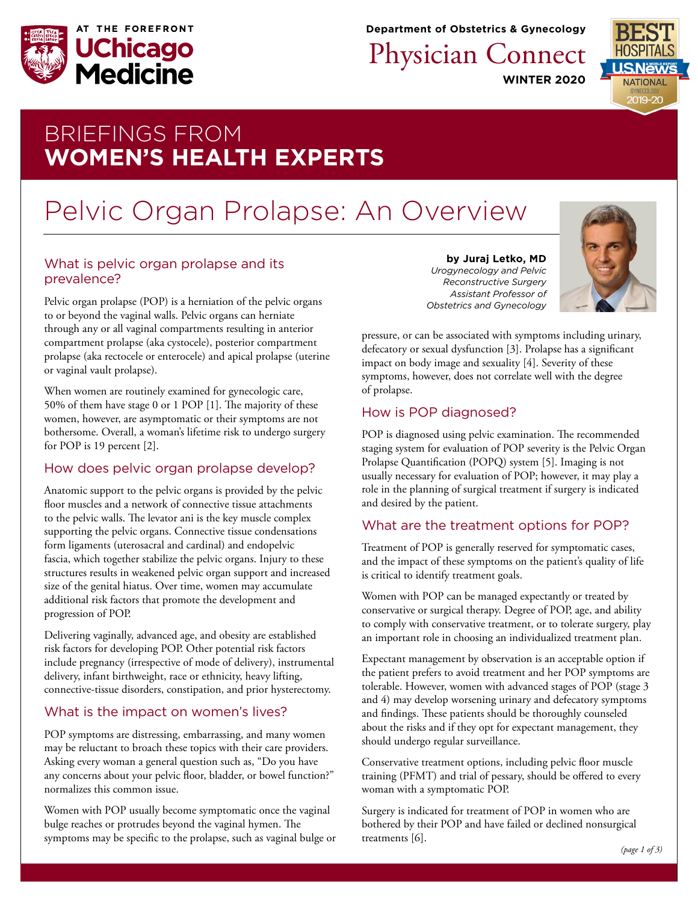

**Department of Obstetrics & Gynecology**

Physician Connect

**WINTER 2020**



## BRIEFINGS FROM **WOMEN'S HEALTH EXPERTS**

# Pelvic Organ Prolapse: An Overview

#### What is pelvic organ prolapse and its prevalence?

Pelvic organ prolapse (POP) is a herniation of the pelvic organs to or beyond the vaginal walls. Pelvic organs can herniate through any or all vaginal compartments resulting in anterior compartment prolapse (aka cystocele), posterior compartment prolapse (aka rectocele or enterocele) and apical prolapse (uterine or vaginal vault prolapse).

When women are routinely examined for gynecologic care, 50% of them have stage 0 or 1 POP [1]. The majority of these women, however, are asymptomatic or their symptoms are not bothersome. Overall, a woman's lifetime risk to undergo surgery for POP is 19 percent [2].

### How does pelvic organ prolapse develop?

Anatomic support to the pelvic organs is provided by the pelvic floor muscles and a network of connective tissue attachments to the pelvic walls. The levator ani is the key muscle complex supporting the pelvic organs. Connective tissue condensations form ligaments (uterosacral and cardinal) and endopelvic fascia, which together stabilize the pelvic organs. Injury to these structures results in weakened pelvic organ support and increased size of the genital hiatus. Over time, women may accumulate additional risk factors that promote the development and progression of POP.

Delivering vaginally, advanced age, and obesity are established risk factors for developing POP. Other potential risk factors include pregnancy (irrespective of mode of delivery), instrumental delivery, infant birthweight, race or ethnicity, heavy lifting, connective-tissue disorders, constipation, and prior hysterectomy.

## What is the impact on women's lives?

POP symptoms are distressing, embarrassing, and many women may be reluctant to broach these topics with their care providers. Asking every woman a general question such as, "Do you have any concerns about your pelvic floor, bladder, or bowel function?" normalizes this common issue.

Women with POP usually become symptomatic once the vaginal bulge reaches or protrudes beyond the vaginal hymen. The symptoms may be specific to the prolapse, such as vaginal bulge or

**by Juraj Letko, MD** *Urogynecology and Pelvic Reconstructive Surgery Assistant Professor of Obstetrics and Gynecology*



pressure, or can be associated with symptoms including urinary, defecatory or sexual dysfunction [3]. Prolapse has a significant impact on body image and sexuality [4]. Severity of these symptoms, however, does not correlate well with the degree of prolapse.

## How is POP diagnosed?

POP is diagnosed using pelvic examination. The recommended staging system for evaluation of POP severity is the Pelvic Organ Prolapse Quantification (POPQ) system [5]. Imaging is not usually necessary for evaluation of POP; however, it may play a role in the planning of surgical treatment if surgery is indicated and desired by the patient.

## What are the treatment options for POP?

Treatment of POP is generally reserved for symptomatic cases, and the impact of these symptoms on the patient's quality of life is critical to identify treatment goals.

Women with POP can be managed expectantly or treated by conservative or surgical therapy. Degree of POP, age, and ability to comply with conservative treatment, or to tolerate surgery, play an important role in choosing an individualized treatment plan.

Expectant management by observation is an acceptable option if the patient prefers to avoid treatment and her POP symptoms are tolerable. However, women with advanced stages of POP (stage 3 and 4) may develop worsening urinary and defecatory symptoms and findings. These patients should be thoroughly counseled about the risks and if they opt for expectant management, they should undergo regular surveillance.

Conservative treatment options, including pelvic floor muscle training (PFMT) and trial of pessary, should be offered to every woman with a symptomatic POP.

Surgery is indicated for treatment of POP in women who are bothered by their POP and have failed or declined nonsurgical treatments [6].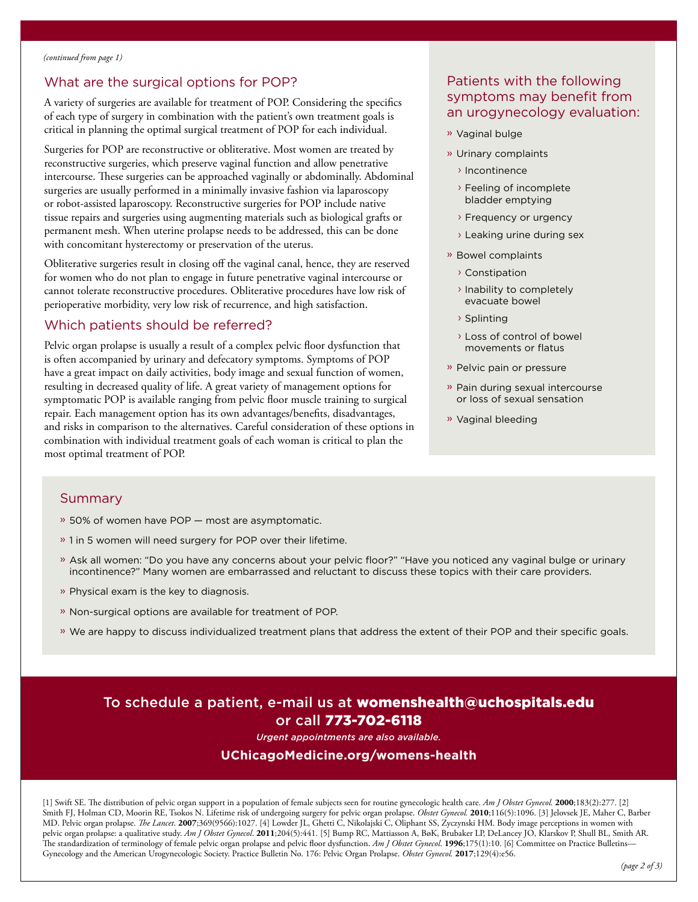#### What are the surgical options for POP?

A variety of surgeries are available for treatment of POP. Considering the specifics of each type of surgery in combination with the patient's own treatment goals is critical in planning the optimal surgical treatment of POP for each individual.

Surgeries for POP are reconstructive or obliterative. Most women are treated by reconstructive surgeries, which preserve vaginal function and allow penetrative intercourse. These surgeries can be approached vaginally or abdominally. Abdominal surgeries are usually performed in a minimally invasive fashion via laparoscopy or robot-assisted laparoscopy. Reconstructive surgeries for POP include native tissue repairs and surgeries using augmenting materials such as biological grafts or permanent mesh. When uterine prolapse needs to be addressed, this can be done with concomitant hysterectomy or preservation of the uterus.

Obliterative surgeries result in closing off the vaginal canal, hence, they are reserved for women who do not plan to engage in future penetrative vaginal intercourse or cannot tolerate reconstructive procedures. Obliterative procedures have low risk of perioperative morbidity, very low risk of recurrence, and high satisfaction.

#### Which patients should be referred?

Pelvic organ prolapse is usually a result of a complex pelvic floor dysfunction that is often accompanied by urinary and defecatory symptoms. Symptoms of POP have a great impact on daily activities, body image and sexual function of women, resulting in decreased quality of life. A great variety of management options for symptomatic POP is available ranging from pelvic floor muscle training to surgical repair. Each management option has its own advantages/benefits, disadvantages, and risks in comparison to the alternatives. Careful consideration of these options in combination with individual treatment goals of each woman is critical to plan the most optimal treatment of POP.

#### Patients with the following symptoms may benefit from an urogynecology evaluation:

- » Vaginal bulge
- » Urinary complaints
	- › Incontinence
	- › Feeling of incomplete bladder emptying
	- › Frequency or urgency
	- › Leaking urine during sex
- » Bowel complaints
	- › Constipation
	- › Inability to completely evacuate bowel
	- › Splinting
	- › Loss of control of bowel movements or flatus
- » Pelvic pain or pressure
- » Pain during sexual intercourse or loss of sexual sensation
- » Vaginal bleeding

#### Summary

- » 50% of women have POP most are asymptomatic.
- » 1 in 5 women will need surgery for POP over their lifetime.
- » Ask all women: "Do you have any concerns about your pelvic floor?" "Have you noticed any vaginal bulge or urinary incontinence?" Many women are embarrassed and reluctant to discuss these topics with their care providers.
- » Physical exam is the key to diagnosis.
- » Non-surgical options are available for treatment of POP.
- » We are happy to discuss individualized treatment plans that address the extent of their POP and their specific goals.

## To schedule a patient, e-mail us at [womenshealth@uchospitals.edu](mailto:womenshealth%40uchospitals.edu?subject=Pelvic%20Organ%20Prolapse) or call 773-702-6118

*Urgent appointments are also available.* 

#### **[UChicagoMedicine.org/womens-health](http://UChicagoMedicine.org/womens-health)**

[1] Swift SE. The distribution of pelvic organ support in a population of female subjects seen for routine gynecologic health care. *Am J Obstet Gynecol.* **2000**;183(2):277. [2] Smith FJ, Holman CD, Moorin RE, Tsokos N. Lifetime risk of undergoing surgery for pelvic organ prolapse. *Obstet Gynecol.* **2010**;116(5):1096. [3] Jelovsek JE, Maher C, Barber MD. Pelvic organ prolapse. *The Lancet*. **2007**;369(9566):1027. [4] Lowder JL, Ghetti C, Nikolajski C, Oliphant SS, Zyczynski HM. Body image perceptions in women with pelvic organ prolapse: a qualitative study. *Am J Obstet Gynecol*. **2011**;204(5):441. [5] Bump RC, Mattiasson A, BøK, Brubaker LP, DeLancey JO, Klarskov P, Shull BL, Smith AR. The standardization of terminology of female pelvic organ prolapse and pelvic floor dysfunction. *Am J Obstet Gynecol*. **1996**;175(1):10. [6] Committee on Practice Bulletins— Gynecology and the American Urogynecologic Society. Practice Bulletin No. 176: Pelvic Organ Prolapse. *Obstet Gynecol.* **2017**;129(4):e56.